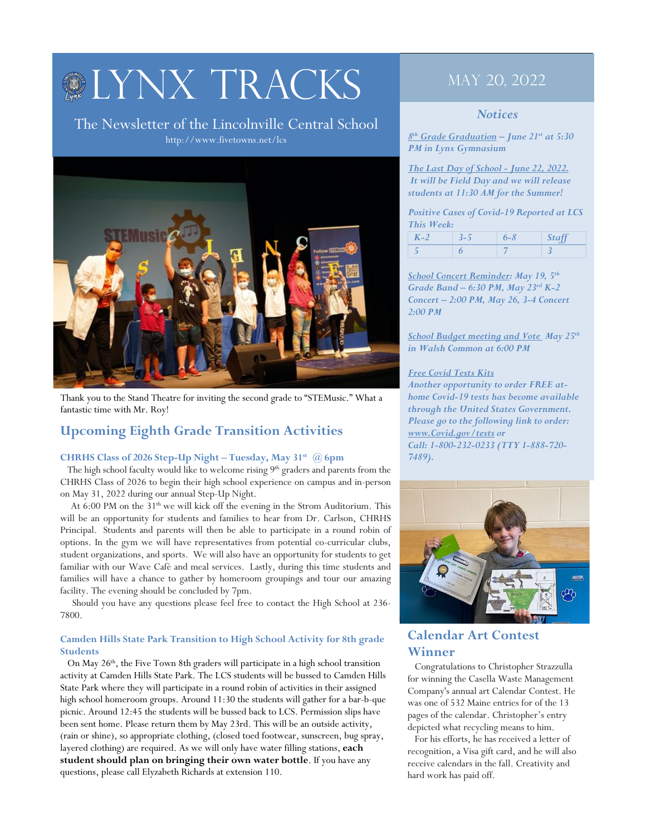# **OLYNX TRACKS**

The Newsletter of the Lincolnville Central School http://www.fivetowns.net/lcs



Thank you to the Stand Theatre for inviting the second grade to "STEMusic." What a fantastic time with Mr. Roy!

# **Upcoming Eighth Grade Transition Activities**

#### **CHRHS Class of 2026 Step-Up Night – Tuesday, May 31st @ 6pm**

The high school faculty would like to welcome rising 9<sup>th</sup> graders and parents from the CHRHS Class of 2026 to begin their high school experience on campus and in-person on May 31, 2022 during our annual Step-Up Night.

At 6:00 PM on the  $31<sup>th</sup>$  we will kick off the evening in the Strom Auditorium. This will be an opportunity for students and families to hear from Dr. Carlson, CHRHS Principal. Students and parents will then be able to participate in a round robin of options. In the gym we will have representatives from potential co-curricular clubs, student organizations, and sports. We will also have an opportunity for students to get familiar with our Wave Café and meal services. Lastly, during this time students and families will have a chance to gather by homeroom groupings and tour our amazing facility. The evening should be concluded by 7pm.

 Should you have any questions please feel free to contact the High School at 236- 7800.

#### **Camden Hills State Park Transition to High School Activity for 8th grade Students**

On May 26<sup>th</sup>, the Five Town 8th graders will participate in a high school transition activity at Camden Hills State Park. The LCS students will be bussed to Camden Hills State Park where they will participate in a round robin of activities in their assigned high school homeroom groups. Around 11:30 the students will gather for a bar-b-que picnic. Around 12:45 the students will be bussed back to LCS. Permission slips have been sent home. Please return them by May 23rd. This will be an outside activity, (rain or shine), so appropriate clothing, (closed toed footwear, sunscreen, bug spray, layered clothing) are required. As we will only have water filling stations, **each student should plan on bringing their own water bottle**. If you have any questions, please call Elyzabeth Richards at extension 110.

# May 20, 2022

#### *Notices*

*8th Grade Graduation – June 21st at 5:30 PM in Lynx Gymnasium*

*The Last Day of School - June 22, 2022. It will be Field Day and we will release students at 11:30 AM for the Summer!*

*Positive Cases of Covid-19 Reported at LCS This Week:*

| $\boldsymbol{V}$ ) | ית כ | $\epsilon$ 8 |  |
|--------------------|------|--------------|--|
|                    |      |              |  |

*School Concert Reminder: May 19, 5th Grade Band – 6:30 PM, May 23rd K-2 Concert – 2:00 PM, May 26, 3-4 Concert 2:00 PM*

*School Budget meeting and Vote May 25th in Walsh Common at 6:00 PM*

#### *Free Covid Tests Kits*

*Another opportunity to order FREE athome Covid-19 tests has become available through the United States Government. Please go to the following link to order: www.Covid.gov/tests or Call: 1-800-232-0233 (TTY 1-888-720- 7489).* 



## **Calendar Art Contest Winner**

 Congratulations to Christopher Strazzulla for winning the Casella Waste Management Company's annual art Calendar Contest. He was one of 532 Maine entries for of the 13 pages of the calendar. Christopher's entry depicted what recycling means to him.

 For his efforts, he has received a letter of recognition, a Visa gift card, and he will also receive calendars in the fall. Creativity and hard work has paid off.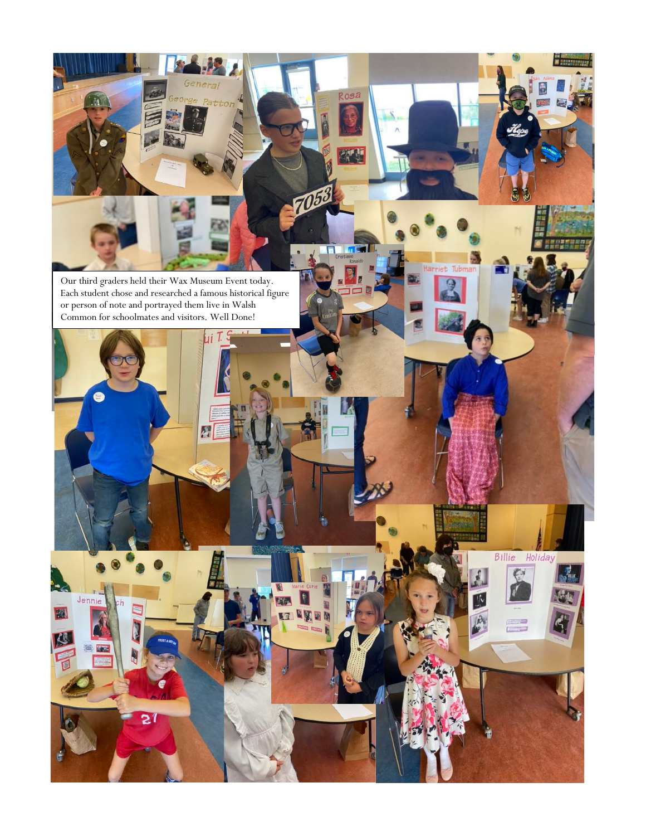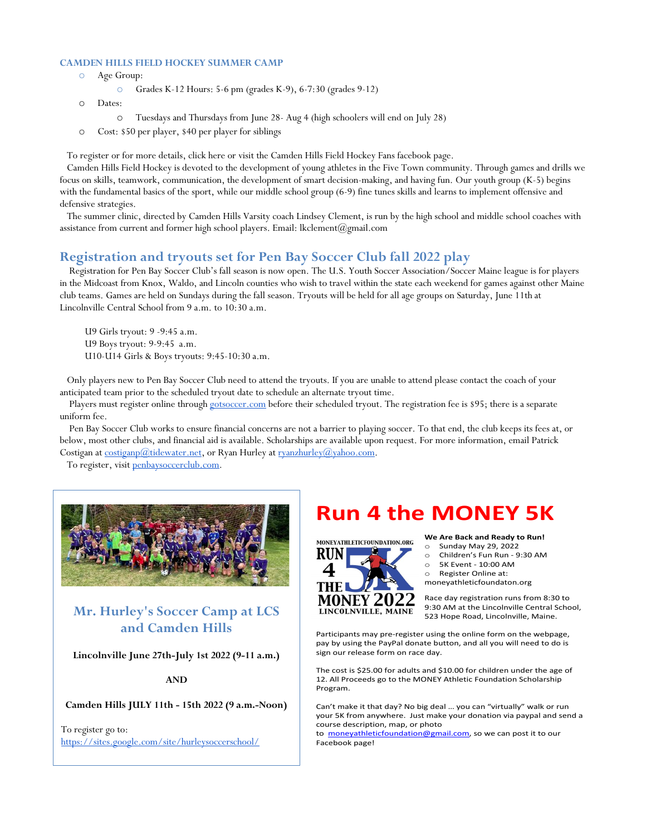#### **CAMDEN HILLS FIELD HOCKEY SUMMER CAMP**

- o Age Group:
	- o Grades K-12 Hours: 5-6 pm (grades K-9), 6-7:30 (grades 9-12)
- o Dates:
	- o Tuesdays and Thursdays from June 28- Aug 4 (high schoolers will end on July 28)
- o Cost: \$50 per player, \$40 per player for siblings

To register or for more details, click here or visit the Camden Hills Field Hockey Fans facebook page.

 Camden Hills Field Hockey is devoted to the development of young athletes in the Five Town community. Through games and drills we focus on skills, teamwork, communication, the development of smart decision-making, and having fun. Our youth group (K-5) begins with the fundamental basics of the sport, while our middle school group (6-9) fine tunes skills and learns to implement offensive and defensive strategies.

 The summer clinic, directed by Camden Hills Varsity coach Lindsey Clement, is run by the high school and middle school coaches with assistance from current and former high school players. Email: lkclement@gmail.com

#### **Registration and tryouts set for Pen Bay Soccer Club fall 2022 play**

 Registration for Pen Bay Soccer Club's fall season is now open. The U.S. Youth Soccer Association/Soccer Maine league is for players in the Midcoast from Knox, Waldo, and Lincoln counties who wish to travel within the state each weekend for games against other Maine club teams. Games are held on Sundays during the fall season. Tryouts will be held for all age groups on Saturday, June 11th at Lincolnville Central School from 9 a.m. to 10:30 a.m.

U9 Girls tryout: 9 -9:45 a.m. U9 Boys tryout: 9-9:45 a.m. U10-U14 Girls & Boys tryouts: 9:45-10:30 a.m.

 Only players new to Pen Bay Soccer Club need to attend the tryouts. If you are unable to attend please contact the coach of your anticipated team prior to the scheduled tryout date to schedule an alternate tryout time.

Players must register online through gotsoccer.com before their scheduled tryout. The registration fee is \$95; there is a separate uniform fee.

 Pen Bay Soccer Club works to ensure financial concerns are not a barrier to playing soccer. To that end, the club keeps its fees at, or below, most other clubs, and financial aid is available. Scholarships are available upon request. For more information, email Patrick Costigan at costiganp@tidewater.net, or Ryan Hurley at ryanzhurley@yahoo.com.

To register, visit penbaysoccerclub.com.



# **Mr. Hurley's Soccer Camp at LCS and Camden Hills**

**Lincolnville June 27th-July 1st 2022 (9-11 a.m.)**

**AND**

**Camden Hills JULY 11th - 15th 2022 (9 a.m.-Noon)**

To register go to: https://sites.google.com/site/hurleysoccerschool/

# **Run 4 the MONEY 5K**



**We Are Back and Ready to Run!**

- o Sunday May 29, 2022 o Children's Fun Run - 9:30 AM
- o 5K Event 10:00 AM
- o Register Online at:
- moneyathleticfoundaton.org

Race day registration runs from 8:30 to 9:30 AM at the Lincolnville Central School, 523 Hope Road, Lincolnville, Maine.

Participants may pre-register using the online form on the webpage, pay by using the PayPal donate button, and all you will need to do is sign our release form on race day.

The cost is \$25.00 for adults and \$10.00 for children under the age of 12. All Proceeds go to the MONEY Athletic Foundation Scholarship Program.

Can't make it that day? No big deal … you can "virtually" walk or run your 5K from anywhere. Just make your donation via paypal and send a course description, map, or photo

to moneyathleticfoundation@gmail.com, so we can post it to our Facebook page!